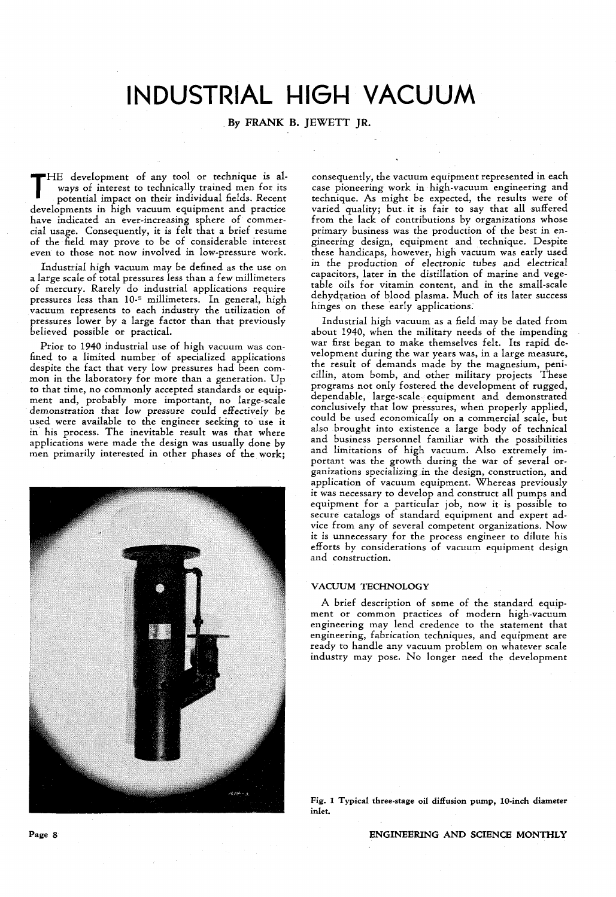# **INDUSTRIAL HIGH VACUUM**

### By FRANK B. JEWETT JR.

THE development of any tool or technique is always of interest to technically trained men for its potential impact on their individual fields. Recent ways of interest to technically trained men for its potential impact on their individual fields. Recent developments in high vacuum equipment and practice have indicated an ever-increasing sphere of commercial usage. Consequently, it is felt that a brief resume of the field may prove to be of considerable interest even to those not now involved in low-pressure work.

Industrial high vacuum may be defined as the use on a large scale of total pressures less than a few millimeters of mercury. Rarely do industrial applications require pressures less than 10-5 millimeters. In general, high vacuum represents to each industry the utilization of pressures lower by a large factor than that previously believed possible or practical.

Prior to 1940 industrial use of high vacuum was confined to a limited number of specialized applications despite the fact that very low pressures had been common in the laboratory for more than a generation. Up to that time, no commonly accepted standards or equipment and, probably more important, no large-scale demonstration that low pressure could effectively be used were available to the engineer seeking to use it in' his process. The inevitable result was that where applications were made the design was usually done by men primarily interested in other phases of the work;



consequently, the vacuum equipment represented in each case pioneering work in high-vacuum engineering and technique. As might be expected, the results were of varied quality; but, it is fair to say that all suffered from the lack of contributions by organizations whose primary business was the production of the best in engineering design, equipment and technique. Despite these handicaps, however, high vacuum was early used in the production of electronic tubes and electrical capacitors, later in the distillation of marine and vegetable oils for vitamin content, and in the small-scale dehydration of blood plasma. Much of its later success hinges on these early applications.

Industrial high vacuum as a field may be dated from about 1940, when the military needs of the impending war first began to make themselves felt. Its rapid development during the war years was, in a large measure, the result of demands made by the magnesium, penicillin, atom bomb, and other military projects These programs not only fostered the development of rugged, dependable, large-scale, equipment and demonstrated conclusively that low pressures, when properly applied, could be used economically on a commercial scale, but also brought into existence a large body of technical and business personnel familiar with the possibilities and limitations of high vacuum. Also extremely important was. the growth during the war of several organizations specializing.in the design, construction, and application of vacuum equipment. Whereas previously it was necessary to develop and construct all pumps and equipment for a particular job, now it is possible to secure catalogs of standard equipment and expert advice from any of several competent organizations. Now it is unnecessary for the process engineer to dilute his efforts by considerations of vacuum equipment design and construction.

#### VACUUM TECHNOLOGY

A brief description of some of the standard equipment or common practices of modern high-vacuum engineering may lend credence to the statement that engineering, fabrication techniques, and equipment are ready to handle any vacuum problem on whatever scale industry may pose. No longer need the development

Fig. 1 Typical three-stage oil diffusion pump, lO-inch diameter inlet.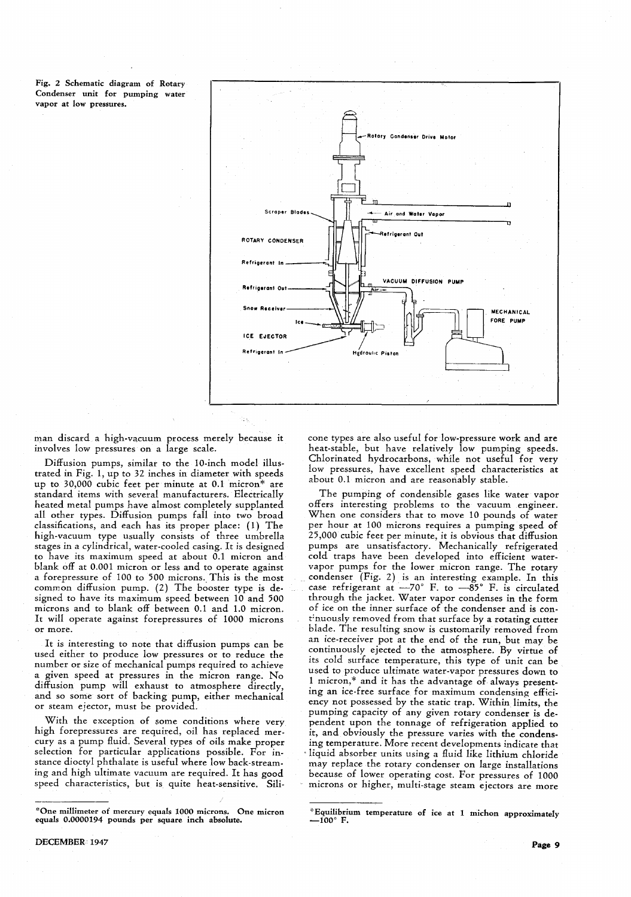Fig. 2 Schematic diagram of Rotary Condenser unit for pumping water vapor at low pressures.



man discard a high-vacuum process merely because it involves low pressures on a large scale.

Diffusion pumps, similar to the 1O-inch model illustrated in Fig. 1, up to 32 inches in diameter with speeds up to 30,000 cubic feet per minute at  $0.1$  micron\* are standard items with several manufacturers. Electrically heated metal pumps have almost completely supplanted all other types. Diffusion pumps fall into two broad classifications, and each has its proper place: (1) The high-vacuum type usually consists of three umbrella stages in a cylindrical, water-cooled casing. It is designed to have its maximum speed at about 0.1 micron and blank off at 0.001 micron or less and to operate against a forepressure of 100 to 500 microns. This is the most common diffusion pump. (2) The booster type is designed to have its maximum speed between 10 and 500 microns and to blank off between 0.1 and 1.0 micron. It will operate against forepressures of 1000 microns or more.

It is interesting to note that diffusion pumps can be used either to produce low pressures or to reduce the number or size of mechanical pumps required to achieve a given speed at pressures in the micron range. No diffusion pump will exhaust to atmosphere directly, and so some sort of backing pump, either mechanical or steam ejector, must be provided.

With the exception of some conditions where very high forepressures are required, oil has replaced mercury as a pump fluid. Several types of oils make proper selection for particular applications possible. For instance dioctyl phthalate is useful where low back-streaming and high ultimate vacuum are required. It has good speed characteristics, but is quite heat-sensitive. Sili-

DECEMBER 1947

cone types are also useful for low-pressure work and are heat-stable, but have relatively low pumping speeds. Chlorinated hydrocarbons, while not useful for very low pressures, have excellent speed characteristics at about 0.1 micron and are reasonably stable.

The pumping of condensible gases like water vapor offers interesting problems to the vacuum engineer. When one considers that to move 10 pounds of water per hour at 100 microns requires a pumping speed of 25,000 cubic feet per minute, it is obvious that diffusion pumps are unsatisfactory. Mechanically refrigerated cold traps have been developed into efficient watervapor pumps for the lower micron range. The rotary . condenser (Fig. 2) is an interesting example. In this case refrigerant at  $-70^{\circ}$  F. to  $-85^{\circ}$  F. is circulated through the jacket. Water vapor condenses in the form of ice on the inner surface of the condenser and is cont:nuously removed from that surface by a rotating cutter blade. The resulting snow is customarily removed from an ice-receiver pot at the end of the run, but may be continuously ejected to the atmosphere. By virtue of its cold surface temperature, this type of unit can be used to produce ultimate water-vapor pressures down to 1 micron,\* and it has the advantage of always presenting an ice-free surface for maximum condensing efficiency not possessed by the static trap. Within limits, the pumping capacity of any given rotary condenser is dependent upon the tonnage of refrigeration applied to it, and obviously the pressure varies with the condensing temperature. More recent developments indicate that liquid absorber units using a fluid like lithium chloride may replace the rotary condenser on large installations because of lower operating cost. For pressures of 1000 microns or higher, multi-stage steam ejectors are more

<sup>&</sup>quot;One millimeter of mercury equals 1000 microns. One micron equals 0.0000194 pounds per square inch absolute.

<sup>\*</sup>Equilibrium temperature of ice at 1 michon approximately  $-100^\circ$  F.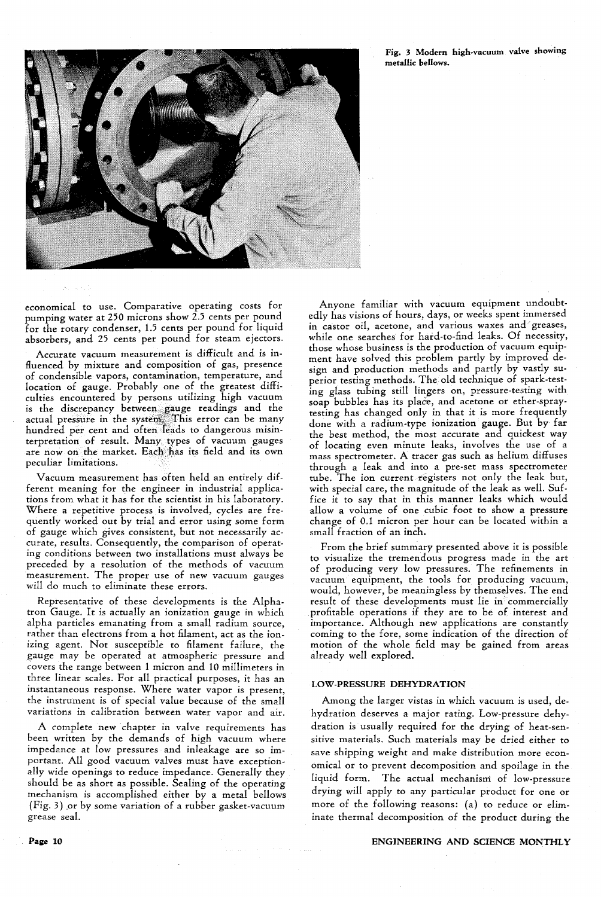Fig. 3 Modern high.vacuum valve showing metallic bellows.



economical to use. Comparative operating costs for pumping water at 250 microns show 2.5 cents per pound for the rotary condenser, 1.5 cents per pound for liquid absorbers, and 25 cents per pound for steam ejectors.

Accurate vacuum measurement is difficult and is influenced by mixture and composition of gas, presence of condensible vapors, contamination, temperature, and location of gauge. Probably one of the greatest difficulties encountered by persons utilizing high vacuum is the discrepancy between,gauge readings and the actual pressure in the system. This error can be many hundred per cent and often leads to dangerous misinterpretation of result. Many types of vacuum gauges are now on the market. Each has its field and its own peculiar limitations.

Vacuum measurement has often held an entirely different meaning for the engineer in industrial applications from what it has for the scientist in his laboratory. Where a repetitive process is involved, cycles are frequently worked out by trial and error using some form of gauge which gives consistent, but not necessarily accurate, results. Consequently, the comparison of operating conditions between two installations must always be preceded by a resolution of the methods of vacuum measurement. The proper use of new vacuum gauges will do much to eliminate these errors.

Representative of these developments is the Alphatron Gauge. It is actually an ionization gauge in which alpha particles emanating from a small radium source, rather than electrons from a hot filament, act as the ionizing agent. Not susceptible to filament failure, the gauge may be operated at atmospheric pressure and covers the range between 1 micron and 10 millimeters in three linear scales. For all practical purposes, it has an instantaneous response. Where water vapor is present, the instrument is of special value because of the small variations in calibration between water vapor and air.

A complete new chapter in valve requirements has been written by the demands of high vacuum where impedance at low pressures and inleakage are so important. All good vacuum valves must have exceptionally wide openings to reduce impedance. Generally they should be as short as possible. Sealing of the operating mechanism is accomplished either by a metal bellows (Fig. 3) or by some variation of a rubber gasket-vacuum grease seal.

Anyone familiar with vacuum equipment undoubtedly has visions of hours, days, or weeks spent immersed in castor oil, acetone, and various waxes and' greases, while one searches for hard-to-find leaks. Of necessity, those whose business is the production of vacuum equipment have solved this problem partly by improved design and production methods and partly by vastly superior testing methods. The. old technique of spark-testing glass tubing still lingers on, pressure-testing with soap bubbles has its place, and acetone or ether-spraytesting has changed only in that it is more frequently done with a radium-type ionization gauge. But by far the best method, the most accurate and quickest way of locating even minute leaks, involves the use of a mass spectrometer. A tracer gas such as helium diffuses through a leak and into a pre-set mass spectrometer tube. The ion current registers not only the leak but, with special care, the magnitude of the leak as well. Suffice it to say that in this manner leaks which would allow a volume of one cubic foot to show a pressure change of 0.1 micron per hour can be located within a small fraction of an inch.

From the brief summary presented above it is possible to visualize the tremendous progress made in the art of producing very low pressures. The refinements in vacuum equipment, the tools for producing vacuum, would, however, be meaningless by themselves. The end result of these developments must lie in commercially profitable operations if they are to be of interest and importance. Although new applications are constantly coming to the fore, some indication of the direction of motion of the whole field may be gained from areas already well explored.

#### LOW-PRESSURE DEHYDRATION

Among the larger vistas in which vacuum is used, dehydration deserves a major rating. Low-pressure dehydration is usually required for the drying of heat-sensitive materials. Such materials may be dried either to save shipping weight and make distribution more economical or to prevent decomposition and spoilage in the liquid form. The actual mechanism of low-pressure drying will apply to any particular product for one or more of the following reasons: (a) to reduce or eliminate thermal decomposition of the product during the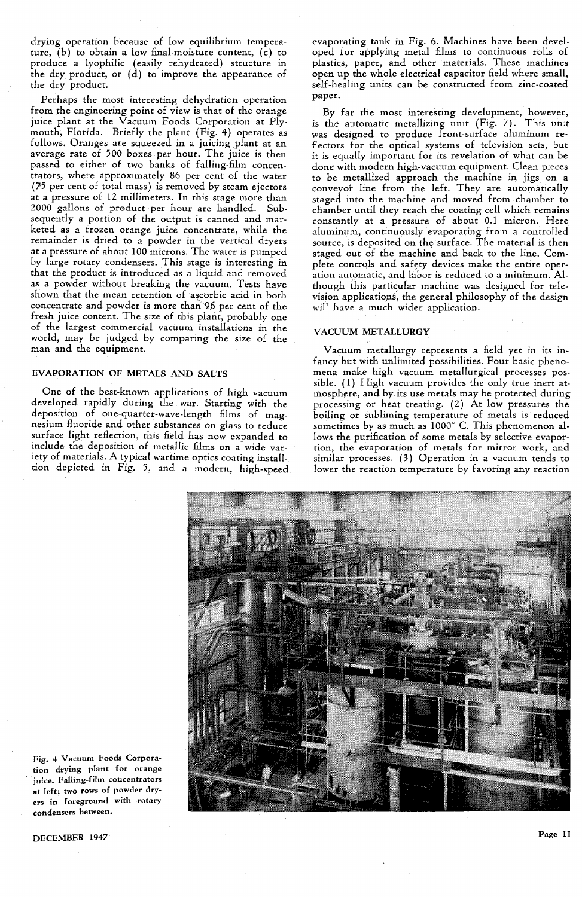drying operation because of low equilibrium temperature, (b) to obtain a low final-moisture content, (c) to produce a lyophilic (easily rehydrated) structure in the dry product, or (d) to improve the appearance of the dry product.

Perhaps the most interesting dehydration operation from the engineering point of view is that of the orange juice plant at the Vacuum Foods Corporation at Plymouth, Florida. Briefly the plant (Fig. 4) operates as follows. Oranges are squeezed in a juicing plant at an average rate of 500 boxes.per hour. The juice is then passed to either of two banks of falling-film concentrators, where approximately 86 per cent of the water *0'5* per cent of total mass) is removed by steam ejectors at a pressure of 12 millimeters. In this stage more than 2000 gallons of product per hour are handled. Subsequently a portion of the output is canned and marketed as a frozen orange juice concentrate, while the remainder is dried to a powder in the vertical dryers at a pressure of about 100 microns. The water is pumped by large rotary condensers. This stage is interesting in that the product is introduced as a liquid and removed as a powder without breaking the vacuum. Tests have shown that the mean retention of ascorbic acid in both concentrate and powder is more than 96 per cent of the fresh juice content. The size of this plant, probably one of the largest commercial vacuum installations in the world, may be judged by comparing the size of the man and the equipment.

#### EVAPORATION OF METALS AND SALTS

One of the best-known applications of high vacuum developed rapidly during the war. Starting with the deposition of one-quarter-wave-Iength films of magnesium fluoride and other substances on glass to reduce surface light reflection, this field has now expanded to include the deposition of metallic films on a wide variety of materials. A typical wartime optics coating installtion depicted in Fig. 5, and a modern, high-speed evaporating tank in Fig. 6. Machines have been developed for applying metal films to continuous rolls of plastics, paper, and other materials. These machines open up the whole electrical capacitor field where small, self-healing units can be constructed from zinc-coated paper.

By far the most interesting development, however, is the automatic metallizing unit  $(Fig. 7)$ . This unit was designed to produce front-surface aluminum reflectors for the optical systems of television sets, but it is equally important for its revelation of what can be done with modern high-vacuum equipment. Clean pieces to be metallized approach the machine in jigs on a conveyor line from the left. They are automatically staged into the machine and moved from chamber to chamber until they reach the coating cell which remains constantly at a pressure of about 0.1 micron. Here aluminum, continuously evaporating from a controlled source, is deposited on the surface. The material is then staged out of the machine and back to the line. Complete controls and safety devices make the entire operation automatic, and labor is reduced to a minimum. Although this particular machine was designed for television applications, the general philosophy of the design will have a much wider application.

#### VACUUM METALLURGY

Vacuum metallurgy represents a field yet in its infancy but with unlimited possibilities. Four basic phenomena make high vacuum metallurgical processes possible. (1) High vacuum provides the only true inert atmosphere, and by. its use metals may be protected during processing or heat treating. (2) At low pressures the boiling or subliming temperature of metals is reduced sometimes by as much as 1000° C. This phenomenon allows the purification of some metals by selective evaportion, the evaporation of metals for mirror work, and similar processes. (3) Operation in a vacuum tends to lower the reaction temperature by favoring any reaction



Fig. 4 Vacuum Foods Corporation drying plant for orange juice. Falling-film concentrators at left; two rows of powder dryers in foreground with rotary condensers between.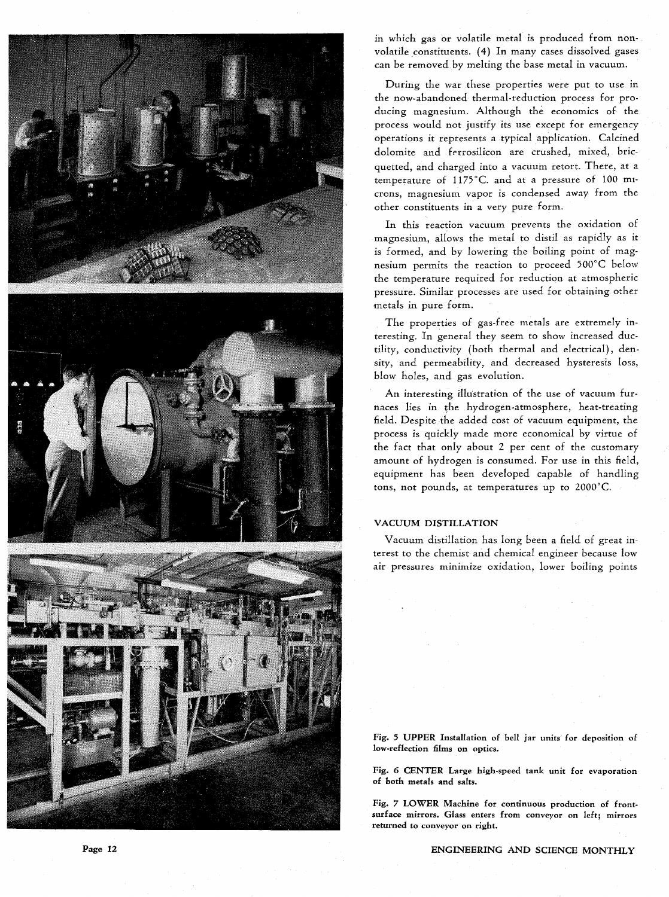





in which gas or volatile metal is produced from nonvolatile constituents. (4) In many cases dissolved gases can be removed by melting the base metal in vacuum.

During the war these properties were put to use in the now-abandoned thermal-reduction process for producing magnesium. Although the economics of the process would not justify its use except for emergency operations it represents a typical application. Calcined dolomite and ferrosilicon are crushed, mixed, bricquetted, and charged into a vacuum retort. There, at a temperature of l175°C. and at a pressure of 100 mIcrons, magnesium vapor is condensed away from the other constituents in a very pure form.

In this reaction vacuum prevents the oxidation of magnesium, allows the metal to distil as rapidly as it is formed, and by lowering the boiling point of magnesium permits the reaction to proceed 500°C below the temperature required for reduction at atmospheric pressure. Similar processes are used for obtaining. other metals in pure form.

The properties of gas-free metals are extremely interesting. In general they seem to show increased ductility, conductivity (both thermal and electrical), density, and permeability, and decreased hysteresis loss, blow holes, and gas evolution.

An interesting illustration of the use of vacuum furnaces lies in the hydrogen-atmosphere, heat-treating field. Despite the added cost of vacuum equipment, the process is quickly made more economical by virtue of the fact that only about 2 per cent of the customary amount of hydrogen is consumed. For use in this field, equipment has been developed capable of handling tons, not pounds, at temperatures up to 2000°C.

## VACUUM DISTILLATION

Vacuum distillation has long been a field of great interest to the chemist and chemical engineer because low air pressures minimize oxidation, lower boiling points

Fig. 5 UPPER Installation of bell jar units for deposition of low-reflection films on optics.

Fig. 6 CENTER Large high-speed tank unit for evaporation of both metals and salts.

Fig. 7 LOWER Machine for continuous production of frontsurface mirrors. Glass enters from conveyor on left; mirrors returned to conveyor on right.

ENGINEERING AND SCIENCE MONTHLY